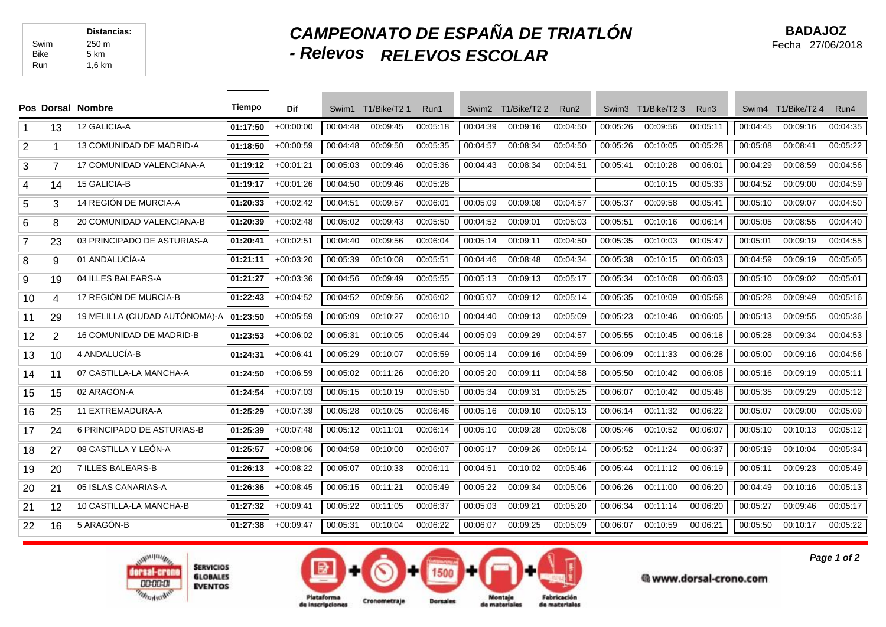## *CAMPEONATO DE ESPAÑA DE TRIATLÓN - Relevos RELEVOS ESCOLAR*

|                |                          | Pos Dorsal Nombre               | Tiempo   | Dif         | Swim1    | T1/Bike/T2 1 | Run1     | Swim <sub>2</sub> | T1/Bike/T2 2 | Run <sub>2</sub> | Swim3    | T1/Bike/T23 | Run <sub>3</sub> | Swim4    | T1/Bike/T2 4 | Run4     |
|----------------|--------------------------|---------------------------------|----------|-------------|----------|--------------|----------|-------------------|--------------|------------------|----------|-------------|------------------|----------|--------------|----------|
|                | 13                       | 12 GALICIA-A                    | 01:17:50 | $+00:00:00$ | 00:04:48 | 00:09:45     | 00:05:18 | 00:04:39          | 00:09:16     | 00:04:50         | 00:05:26 | 00:09:56    | 00:05:11         | 00:04:45 | 00:09:16     | 00:04:35 |
| 2              |                          | 13 COMUNIDAD DE MADRID-A        | 01:18:50 | $+00:00:59$ | 00:04:48 | 00:09:50     | 00:05:35 | 00:04:57          | 00:08:34     | 00:04:50         | 00:05:26 | 00:10:05    | 00:05:28         | 00:05:08 | 00:08:41     | 00:05:22 |
| 3              | $\overline{7}$           | 17 COMUNIDAD VALENCIANA-A       | 01:19:12 | $+00:01:21$ | 00:05:03 | 00:09:46     | 00:05:36 | 00:04:43          | 00:08:34     | 00:04:51         | 00:05:41 | 00:10:28    | 00:06:01         | 00:04:29 | 00:08:59     | 00:04:56 |
| $\overline{4}$ | 14                       | <b>15 GALICIA-B</b>             | 01:19:17 | $+00:01:26$ | 00:04:50 | 00:09:46     | 00:05:28 |                   |              |                  |          | 00:10:15    | 00:05:33         | 00:04:52 | 00:09:00     | 00:04:59 |
| 5              | 3                        | 14 REGIÓN DE MURCIA-A           | 01:20:33 | $+00:02:42$ | 00:04:51 | 00:09:57     | 00:06:01 | 00:05:09          | 00:09:08     | 00:04:57         | 00:05:37 | 00:09:58    | 00:05:41         | 00:05:10 | 00:09:07     | 00:04:50 |
| 6              | 8                        | 20 COMUNIDAD VALENCIANA-B       | 01:20:39 | $+00:02:48$ | 00:05:02 | 00:09:43     | 00:05:50 | 00:04:52          | 00:09:01     | 00:05:03         | 00:05:51 | 00:10:16    | 00:06:14         | 00:05:05 | 00:08:55     | 00:04:40 |
| $\overline{7}$ | 23                       | 03 PRINCIPADO DE ASTURIAS-A     | 01:20:41 | $+00:02:51$ | 00:04:40 | 00:09:56     | 00:06:04 | 00:05:14          | 00:09:11     | 00:04:50         | 00:05:35 | 00:10:03    | 00:05:47         | 00:05:01 | 00:09:19     | 00:04:55 |
| 8              | 9                        | 01 ANDALUCÍA-A                  | 01:21:11 | $+00:03:20$ | 00:05:39 | 00:10:08     | 00:05:51 | 00:04:46          | 00:08:48     | 00:04:34         | 00:05:38 | 00:10:15    | 00:06:03         | 00:04:59 | 00:09:19     | 00:05:05 |
| 9              | 19                       | 04 ILLES BALEARS-A              | 01:21:27 | $+00:03:36$ | 00:04:56 | 00:09:49     | 00:05:55 | 00:05:13          | 00:09:13     | 00:05:17         | 00:05:34 | 00:10:08    | 00:06:03         | 00:05:10 | 00:09:02     | 00:05:01 |
| 10             | $\overline{\mathcal{A}}$ | 17 REGIÓN DE MURCIA-B           | 01:22:43 | $+00:04:52$ | 00:04:52 | 00:09:56     | 00:06:02 | 00:05:07          | 00:09:12     | 00:05:14         | 00:05:35 | 00:10:09    | 00:05:58         | 00:05:28 | 00:09:49     | 00:05:16 |
| 11             | 29                       | 19 MELILLA (CIUDAD AUTÓNOMA)-A  | 01:23:50 | $+00:05:59$ | 00:05:09 | 00:10:27     | 00:06:10 | 00:04:40          | 00:09:13     | 00:05:09         | 00:05:23 | 00:10:46    | 00:06:05         | 00:05:13 | 00:09:55     | 00:05:36 |
| 12             | 2                        | <b>16 COMUNIDAD DE MADRID-B</b> | 01:23:53 | $+00:06:02$ | 00:05:31 | 00:10:05     | 00:05:44 | 00:05:09          | 00:09:29     | 00:04:57         | 00:05:55 | 00:10:45    | 00:06:18         | 00:05:28 | 00:09:34     | 00:04:53 |
| 13             | 10                       | 4 ANDALUCÍA-B                   | 01:24:31 | $+00:06:41$ | 00:05:29 | 00:10:07     | 00:05:59 | 00:05:14          | 00:09:16     | 00:04:59         | 00:06:09 | 00:11:33    | 00:06:28         | 00:05:00 | 00:09:16     | 00:04:56 |
| 14             | 11                       | 07 CASTILLA-LA MANCHA-A         | 01:24:50 | $+00:06:59$ | 00:05:02 | 00:11:26     | 00:06:20 | 00:05:20          | 00:09:11     | 00:04:58         | 00:05:50 | 00:10:42    | 00:06:08         | 00:05:16 | 00:09:19     | 00:05:11 |
| 15             | 15                       | 02 ARAGÓN-A                     | 01:24:54 | $+00:07:03$ | 00:05:15 | 00:10:19     | 00:05:50 | 00:05:34          | 00:09:31     | 00:05:25         | 00:06:07 | 00:10:42    | 00:05:48         | 00:05:35 | 00:09:29     | 00:05:12 |
| 16             | 25                       | 11 EXTREMADURA-A                | 01:25:29 | $+00:07:39$ | 00:05:28 | 00:10:05     | 00:06:46 | 00:05:16          | 00:09:10     | 00:05:13         | 00:06:14 | 00:11:32    | 00:06:22         | 00:05:07 | 00:09:00     | 00:05:09 |
| 17             | 24                       | 6 PRINCIPADO DE ASTURIAS-B      | 01:25:39 | $+00:07:48$ | 00:05:12 | 00:11:01     | 00:06:14 | 00:05:10          | 00:09:28     | 00:05:08         | 00:05:46 | 00:10:52    | 00:06:07         | 00:05:10 | 00:10:13     | 00:05:12 |
| 18             | 27                       | 08 CASTILLA Y LEÓN-A            | 01:25:57 | $+00:08:06$ | 00:04:58 | 00:10:00     | 00:06:07 | 00:05:17          | 00:09:26     | 00:05:14         | 00:05:52 | 00:11:24    | 00:06:37         | 00:05:19 | 00:10:04     | 00:05:34 |
| 19             | 20                       | 7 ILLES BALEARS-B               | 01:26:13 | $+00:08:22$ | 00:05:07 | 00:10:33     | 00:06:11 | 00:04:51          | 00:10:02     | 00:05:46         | 00:05:44 | 00:11:12    | 00:06:19         | 00:05:11 | 00:09:23     | 00:05:49 |
| 20             | 21                       | 05 ISLAS CANARIAS-A             | 01:26:36 | $+00:08:45$ | 00:05:15 | 00:11:21     | 00:05:49 | 00:05:22          | 00:09:34     | 00:05:06         | 00:06:26 | 00:11:00    | 00:06:20         | 00:04:49 | 00:10:16     | 00:05:13 |
| 21             | 12                       | 10 CASTILLA-LA MANCHA-B         | 01:27:32 | $+00:09:41$ | 00:05:22 | 00:11:05     | 00:06:37 | 00:05:03          | 00:09:21     | 00:05:20         | 00:06:34 | 00:11:14    | 00:06:20         | 00:05:27 | 00:09:46     | 00:05:17 |
| 22             | 16                       | 5 ARAGÓN-B                      | 01:27:38 | $+00:09:47$ | 00:05:31 | 00:10:04     | 00:06:22 | 00:06:07          | 00:09:25     | 00:05:09         | 00:06:07 | 00:10:59    | 00:06:21         | 00:05:50 | 00:10:17     | 00:05:22 |





@www.dorsal-crono.com

Fabricación

*Page 1 of 2*